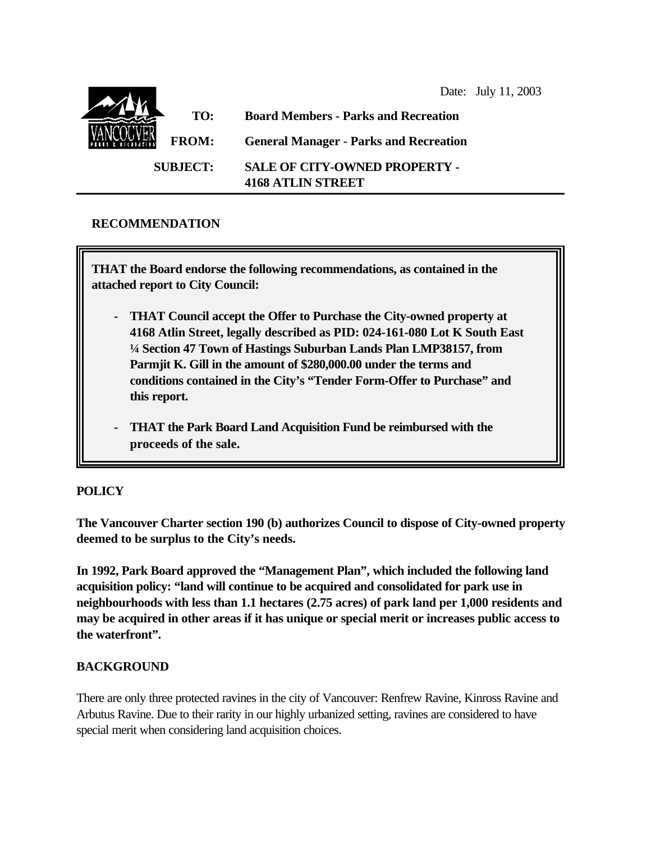

### **RECOMMENDATION**

**THAT the Board endorse the following recommendations, as contained in the attached report to City Council:**

- **- THAT Council accept the Offer to Purchase the City-owned property at 4168 Atlin Street, legally described as PID: 024-161-080 Lot K South East ¼ Section 47 Town of Hastings Suburban Lands Plan LMP38157, from Parmjit K. Gill in the amount of \$280,000.00 under the terms and conditions contained in the City's "Tender Form-Offer to Purchase" and this report.**
- **- THAT the Park Board Land Acquisition Fund be reimbursed with the proceeds of the sale.**

# **POLICY**

**The Vancouver Charter section 190 (b) authorizes Council to dispose of City-owned property deemed to be surplus to the City's needs.**

**In 1992, Park Board approved the "Management Plan", which included the following land acquisition policy: "land will continue to be acquired and consolidated for park use in neighbourhoods with less than 1.1 hectares (2.75 acres) of park land per 1,000 residents and may be acquired in other areas if it has unique or special merit or increases public access to the waterfront".**

#### **BACKGROUND**

There are only three protected ravines in the city of Vancouver: Renfrew Ravine, Kinross Ravine and Arbutus Ravine. Due to their rarity in our highly urbanized setting, ravines are considered to have special merit when considering land acquisition choices.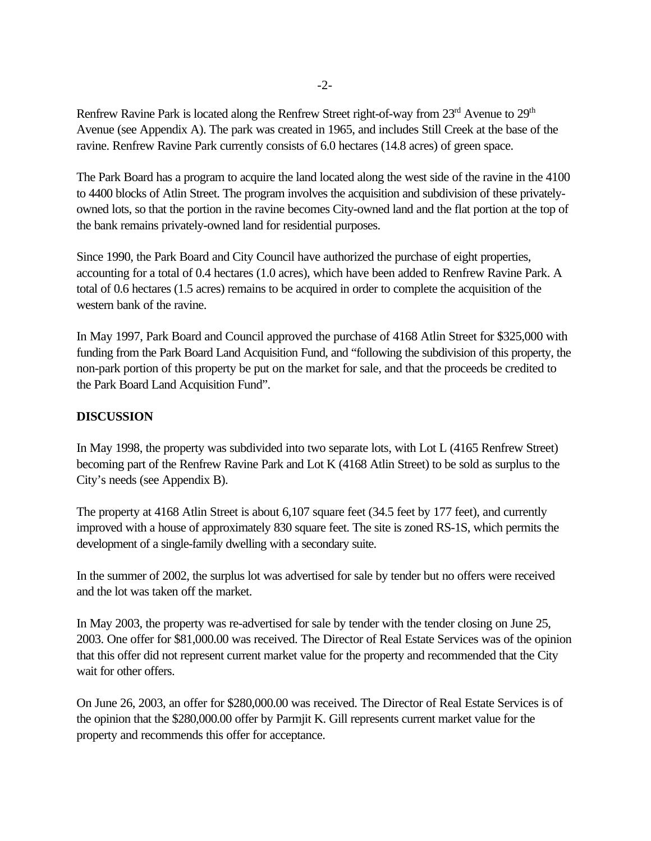Renfrew Ravine Park is located along the Renfrew Street right-of-way from 23<sup>rd</sup> Avenue to 29<sup>th</sup> Avenue (see Appendix A). The park was created in 1965, and includes Still Creek at the base of the ravine. Renfrew Ravine Park currently consists of 6.0 hectares (14.8 acres) of green space.

The Park Board has a program to acquire the land located along the west side of the ravine in the 4100 to 4400 blocks of Atlin Street. The program involves the acquisition and subdivision of these privatelyowned lots, so that the portion in the ravine becomes City-owned land and the flat portion at the top of the bank remains privately-owned land for residential purposes.

Since 1990, the Park Board and City Council have authorized the purchase of eight properties, accounting for a total of 0.4 hectares (1.0 acres), which have been added to Renfrew Ravine Park. A total of 0.6 hectares (1.5 acres) remains to be acquired in order to complete the acquisition of the western bank of the ravine.

In May 1997, Park Board and Council approved the purchase of 4168 Atlin Street for \$325,000 with funding from the Park Board Land Acquisition Fund, and "following the subdivision of this property, the non-park portion of this property be put on the market for sale, and that the proceeds be credited to the Park Board Land Acquisition Fund".

## **DISCUSSION**

In May 1998, the property was subdivided into two separate lots, with Lot L (4165 Renfrew Street) becoming part of the Renfrew Ravine Park and Lot K (4168 Atlin Street) to be sold as surplus to the City's needs (see Appendix B).

The property at 4168 Atlin Street is about 6,107 square feet (34.5 feet by 177 feet), and currently improved with a house of approximately 830 square feet. The site is zoned RS-1S, which permits the development of a single-family dwelling with a secondary suite.

In the summer of 2002, the surplus lot was advertised for sale by tender but no offers were received and the lot was taken off the market.

In May 2003, the property was re-advertised for sale by tender with the tender closing on June 25, 2003. One offer for \$81,000.00 was received. The Director of Real Estate Services was of the opinion that this offer did not represent current market value for the property and recommended that the City wait for other offers.

On June 26, 2003, an offer for \$280,000.00 was received. The Director of Real Estate Services is of the opinion that the \$280,000.00 offer by Parmjit K. Gill represents current market value for the property and recommends this offer for acceptance.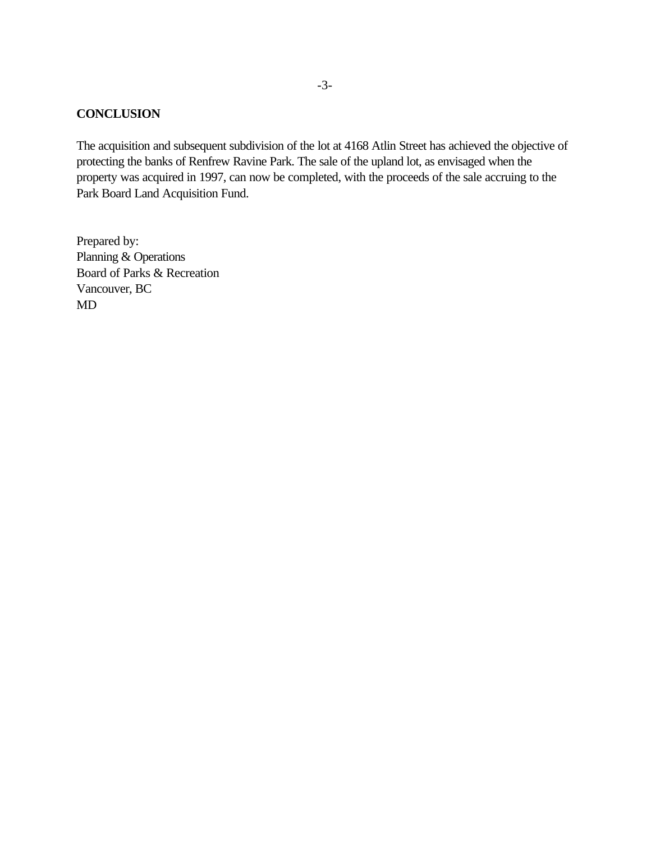#### **CONCLUSION**

The acquisition and subsequent subdivision of the lot at 4168 Atlin Street has achieved the objective of protecting the banks of Renfrew Ravine Park. The sale of the upland lot, as envisaged when the property was acquired in 1997, can now be completed, with the proceeds of the sale accruing to the Park Board Land Acquisition Fund.

Prepared by: Planning & Operations Board of Parks & Recreation Vancouver, BC MD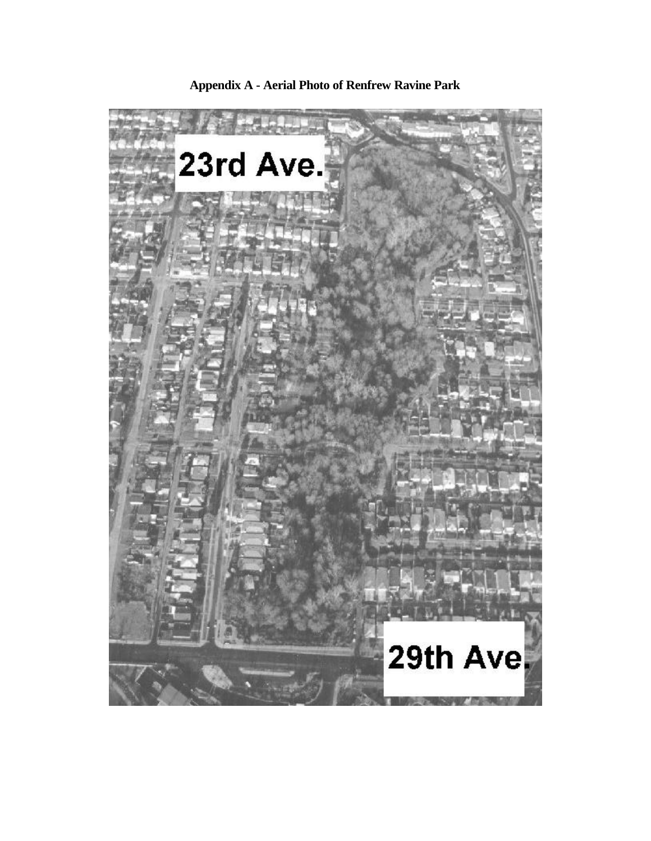

**Appendix A - Aerial Photo of Renfrew Ravine Park**